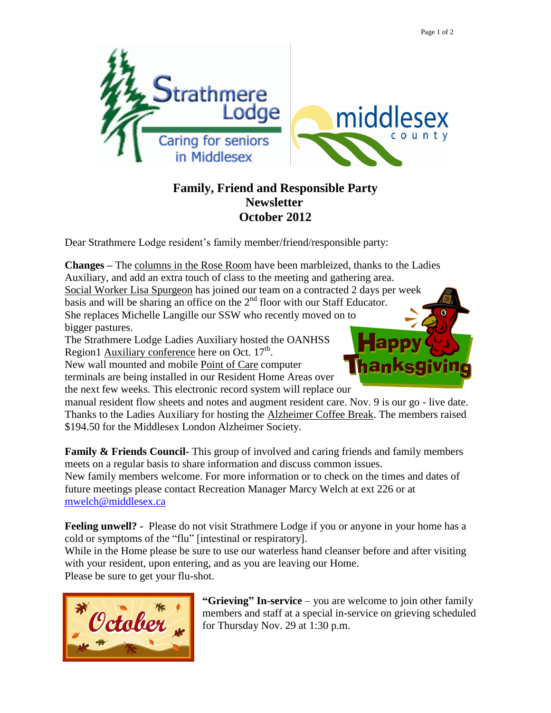

## **Family, Friend and Responsible Party Newsletter October 2012**

Dear Strathmere Lodge resident's family member/friend/responsible party:

**Changes –** The columns in the Rose Room have been marbleized, thanks to the Ladies Auxiliary, and add an extra touch of class to the meeting and gathering area. Social Worker Lisa Spurgeon has joined our team on a contracted 2 days per week basis and will be sharing an office on the  $2<sup>nd</sup>$  floor with our Staff Educator. She replaces Michelle Langille our SSW who recently moved on to bigger pastures.

The Strathmere Lodge Ladies Auxiliary hosted the OANHSS Region1  $\frac{\text{Auxiliary conference}}{\text{Therefore}}$  here on Oct. 17<sup>th</sup>.

New wall mounted and mobile Point of Care computer terminals are being installed in our Resident Home Areas over the next few weeks. This electronic record system will replace our



manual resident flow sheets and notes and augment resident care. Nov. 9 is our go - live date. Thanks to the Ladies Auxiliary for hosting the Alzheimer Coffee Break. The members raised \$194.50 for the Middlesex London Alzheimer Society.

**Family & Friends Council-** This group of involved and caring friends and family members meets on a regular basis to share information and discuss common issues. New family members welcome. For more information or to check on the times and dates of future meetings please contact Recreation Manager Marcy Welch at ext 226 or at [mwelch@middlesex.ca](mailto:mwelch@middlesex.ca)

**Feeling unwell? -** Please do not visit Strathmere Lodge if you or anyone in your home has a cold or symptoms of the "flu" [intestinal or respiratory].

While in the Home please be sure to use our waterless hand cleanser before and after visiting with your resident, upon entering, and as you are leaving our Home.

Please be sure to get your flu-shot.



**"Grieving" In-service** – you are welcome to join other family members and staff at a special in-service on grieving scheduled for Thursday Nov. 29 at 1:30 p.m.